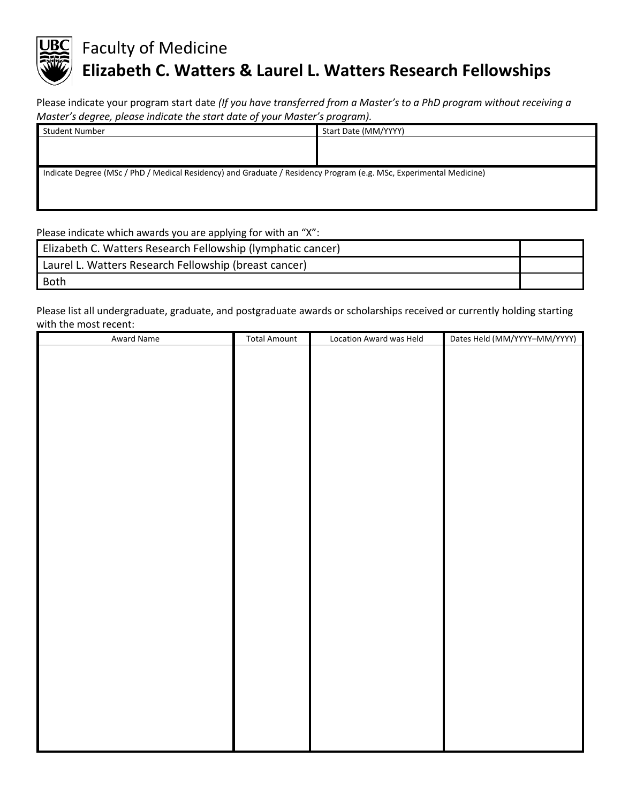

## Faculty of Medicine **Elizabeth C. Watters & Laurel L. Watters Research Fellowships**

Please indicate your program start date *(If you have transferred from a Master's to a PhD program without receiving a Master's degree, please indicate the start date of your Master's program).*

| Student Number                                                                                                     | Start Date (MM/YYYY) |
|--------------------------------------------------------------------------------------------------------------------|----------------------|
|                                                                                                                    |                      |
|                                                                                                                    |                      |
| Indicate Degree (MSc / PhD / Medical Residency) and Graduate / Residency Program (e.g. MSc, Experimental Medicine) |                      |

Please indicate which awards you are applying for with an "X":

| Elizabeth C. Watters Research Fellowship (lymphatic cancer) |  |
|-------------------------------------------------------------|--|
| Laurel L. Watters Research Fellowship (breast cancer)       |  |
| Both                                                        |  |

Please list all undergraduate, graduate, and postgraduate awards or scholarships received or currently holding starting with the most recent:

| Award Name | <b>Total Amount</b> | Location Award was Held | Dates Held (MM/YYYY-MM/YYYY) |
|------------|---------------------|-------------------------|------------------------------|
|            |                     |                         |                              |
|            |                     |                         |                              |
|            |                     |                         |                              |
|            |                     |                         |                              |
|            |                     |                         |                              |
|            |                     |                         |                              |
|            |                     |                         |                              |
|            |                     |                         |                              |
|            |                     |                         |                              |
|            |                     |                         |                              |
|            |                     |                         |                              |
|            |                     |                         |                              |
|            |                     |                         |                              |
|            |                     |                         |                              |
|            |                     |                         |                              |
|            |                     |                         |                              |
|            |                     |                         |                              |
|            |                     |                         |                              |
|            |                     |                         |                              |
|            |                     |                         |                              |
|            |                     |                         |                              |
|            |                     |                         |                              |
|            |                     |                         |                              |
|            |                     |                         |                              |
|            |                     |                         |                              |
|            |                     |                         |                              |
|            |                     |                         |                              |
|            |                     |                         |                              |
|            |                     |                         |                              |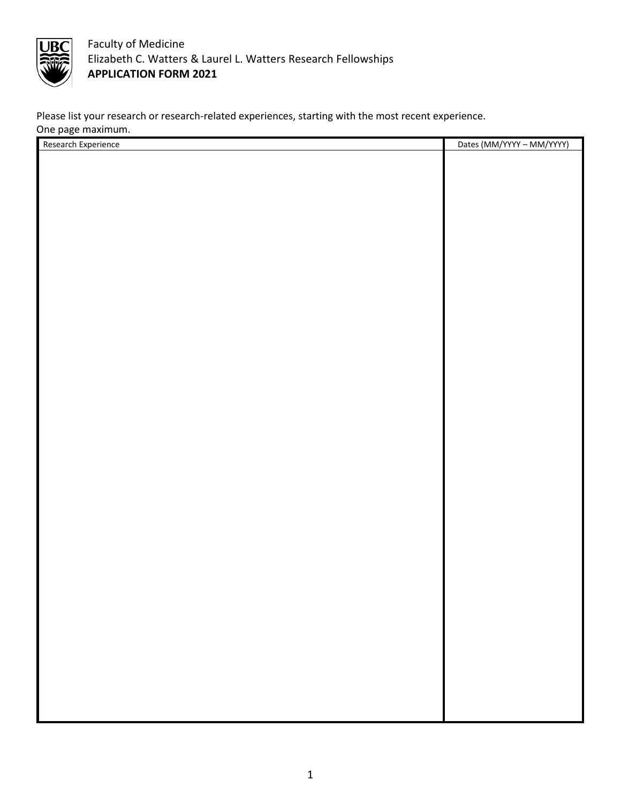

Please list your research or research-related experiences, starting with the most recent experience. One page maximum.

| Research Experience | Dates (MM/YYYY - MM/YYYY) |
|---------------------|---------------------------|
|                     |                           |
|                     |                           |
|                     |                           |
|                     |                           |
|                     |                           |
|                     |                           |
|                     |                           |
|                     |                           |
|                     |                           |
|                     |                           |
|                     |                           |
|                     |                           |
|                     |                           |
|                     |                           |
|                     |                           |
|                     |                           |
|                     |                           |
|                     |                           |
|                     |                           |
|                     |                           |
|                     |                           |
|                     |                           |
|                     |                           |
|                     |                           |
|                     |                           |
|                     |                           |
|                     |                           |
|                     |                           |
|                     |                           |
|                     |                           |
|                     |                           |
|                     |                           |
|                     |                           |
|                     |                           |
|                     |                           |
|                     |                           |
|                     |                           |
|                     |                           |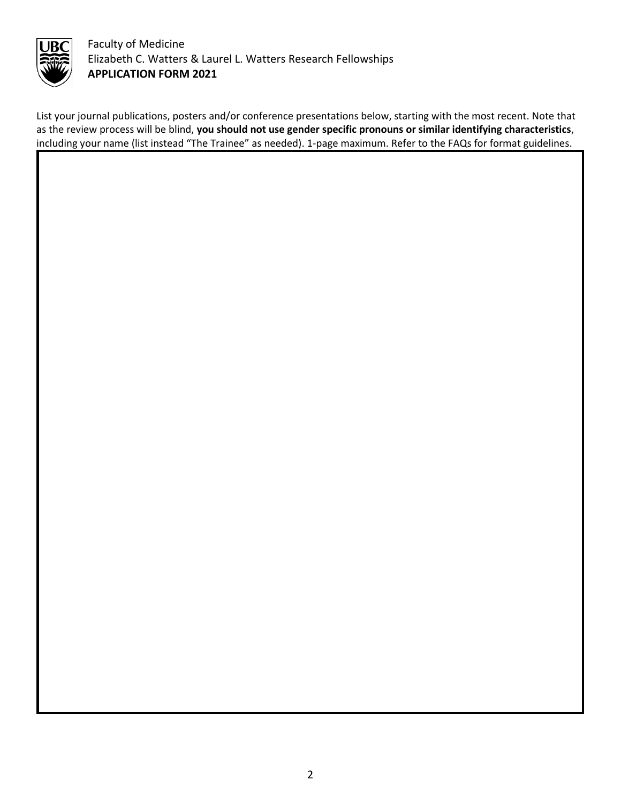

List your journal publications, posters and/or conference presentations below, starting with the most recent. Note that as the review process will be blind, **you should not use gender specific pronouns or similar identifying characteristics**, including your name (list instead "The Trainee" as needed). 1-page maximum. Refer to the FAQs for format guidelines.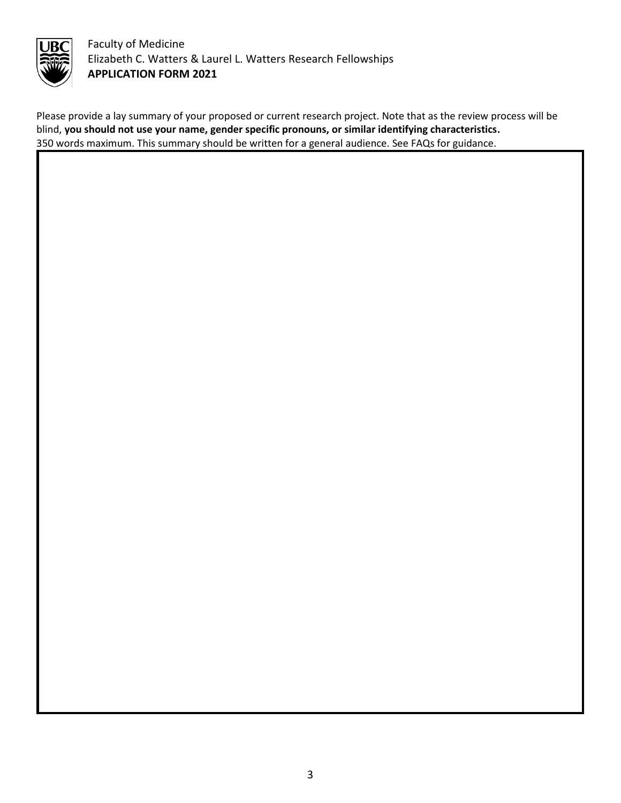

Please provide a lay summary of your proposed or current research project. Note that as the review process will be blind, **you should not use your name, gender specific pronouns, or similar identifying characteristics.** 350 words maximum. This summary should be written for a general audience. See FAQs for guidance.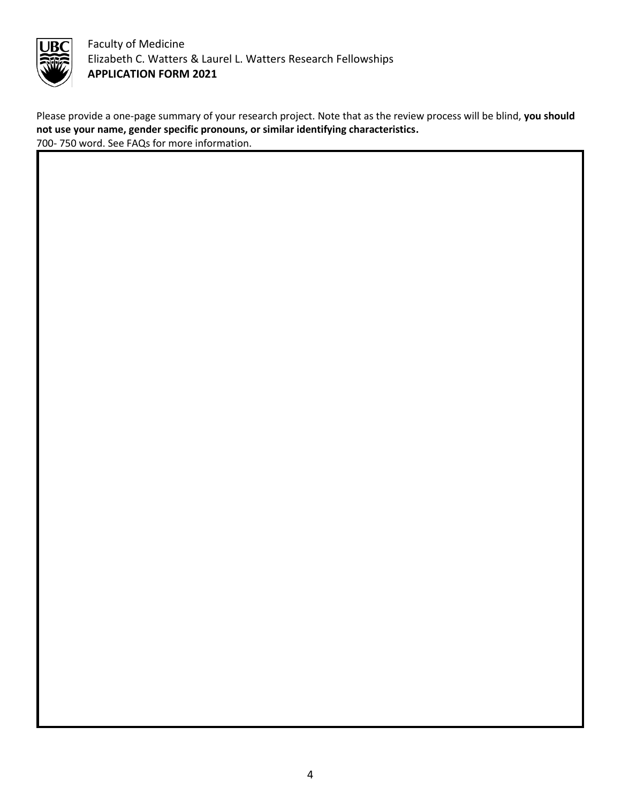

Please provide a one-page summary of your research project. Note that as the review process will be blind, **you should not use your name, gender specific pronouns, or similar identifying characteristics.** 700- 750 word. See FAQs for more information.